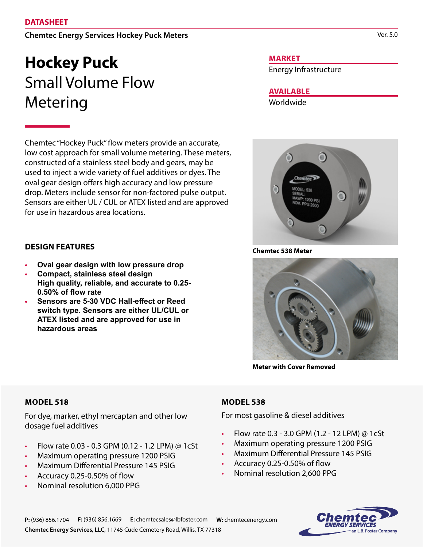#### **DATASHEET**

## **Chemtec Energy Services Hockey Puck Meters**

# **Hockey Puck** Small Volume Flow Metering

Chemtec "Hockey Puck" flow meters provide an accurate, low cost approach for small volume metering. These meters, constructed of a stainless steel body and gears, may be used to inject a wide variety of fuel additives or dyes. The oval gear design offers high accuracy and low pressure drop. Meters include sensor for non-factored pulse output. Sensors are either UL / CUL or ATEX listed and are approved for use in hazardous area locations.

#### **MARKET**

Energy Infrastructure

## **AVAILABLE**

Worldwide



## **DESIGN FEATURES**

- **• Oval gear design with low pressure drop**
- **• Compact, stainless steel design High quality, reliable, and accurate to 0.25- 0.50% of flow rate**
- **• Sensors are 5-30 VDC Hall-effect or Reed switch type. Sensors are either UL/CUL or ATEX listed and are approved for use in hazardous areas**

**Chemtec 538 Meter**



**Meter with Cover Removed**

#### **MODEL 518**

For dye, marker, ethyl mercaptan and other low dosage fuel additives

- Flow rate 0.03 0.3 GPM (0.12 1.2 LPM) @ 1cSt
- Maximum operating pressure 1200 PSIG
- Maximum Differential Pressure 145 PSIG
- Accuracy 0.25-0.50% of flow
- Nominal resolution 6,000 PPG

## **MODEL 538**

For most gasoline & diesel additives

- Flow rate 0.3 3.0 GPM (1.2 12 LPM) @ 1cSt
- Maximum operating pressure 1200 PSIG
- Maximum Differential Pressure 145 PSIG
- Accuracy 0.25-0.50% of flow
- Nominal resolution 2,600 PPG